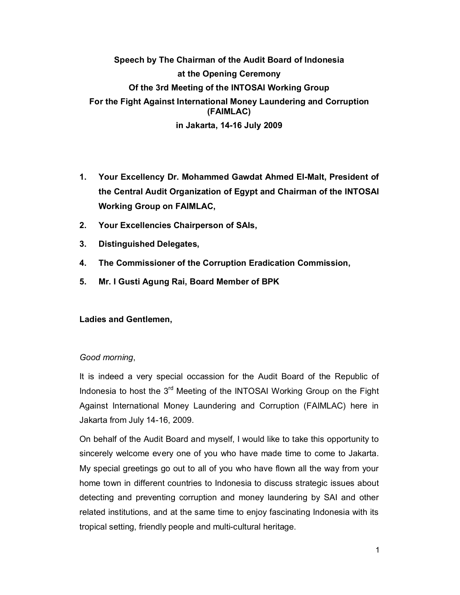**Speech by The Chairman of the Audit Board of Indonesia at the Opening Ceremony Of the 3rd Meeting of the INTOSAI Working Group For the Fight Against International Money Laundering and Corruption (FAIMLAC) in Jakarta, 14-16 July 2009**

- **1. Your Excellency Dr. Mohammed Gawdat Ahmed El-Malt, President of the Central Audit Organization of Egypt and Chairman of the INTOSAI Working Group on FAIMLAC,**
- **2. Your Excellencies Chairperson of SAIs,**
- **3. Distinguished Delegates,**
- **4. The Commissioner of the Corruption Eradication Commission,**
- **5. Mr. I Gusti Agung Rai, Board Member of BPK**

# **Ladies and Gentlemen,**

# *Good morning*,

It is indeed a very special occassion for the Audit Board of the Republic of Indonesia to host the  $3<sup>rd</sup>$  Meeting of the INTOSAI Working Group on the Fight Against International Money Laundering and Corruption (FAIMLAC) here in Jakarta from July 14-16, 2009.

On behalf of the Audit Board and myself, I would like to take this opportunity to sincerely welcome every one of you who have made time to come to Jakarta. My special greetings go out to all of you who have flown all the way from your home town in different countries to Indonesia to discuss strategic issues about detecting and preventing corruption and money laundering by SAI and other related institutions, and at the same time to enjoy fascinating Indonesia with its tropical setting, friendly people and multi-cultural heritage.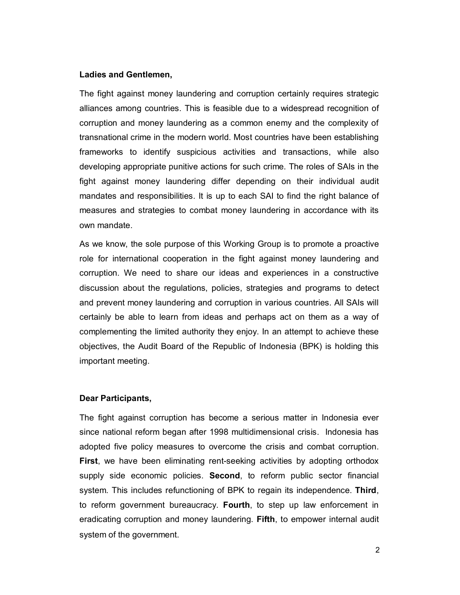#### **Ladies and Gentlemen,**

The fight against money laundering and corruption certainly requires strategic alliances among countries. This is feasible due to a widespread recognition of corruption and money laundering as a common enemy and the complexity of transnational crime in the modern world. Most countries have been establishing frameworks to identify suspicious activities and transactions, while also developing appropriate punitive actions for such crime. The roles of SAIs in the fight against money laundering differ depending on their individual audit mandates and responsibilities. It is up to each SAI to find the right balance of measures and strategies to combat money laundering in accordance with its own mandate.

As we know, the sole purpose of this Working Group is to promote a proactive role for international cooperation in the fight against money laundering and corruption. We need to share our ideas and experiences in a constructive discussion about the regulations, policies, strategies and programs to detect and prevent money laundering and corruption in various countries. All SAIs will certainly be able to learn from ideas and perhaps act on them as a way of complementing the limited authority they enjoy. In an attempt to achieve these objectives, the Audit Board of the Republic of Indonesia (BPK) is holding this important meeting.

## **Dear Participants,**

The fight against corruption has become a serious matter in Indonesia ever since national reform began after 1998 multidimensional crisis. Indonesia has adopted five policy measures to overcome the crisis and combat corruption. **First**, we have been eliminating rent-seeking activities by adopting orthodox supply side economic policies. **Second**, to reform public sector financial system. This includes refunctioning of BPK to regain its independence. **Third**, to reform government bureaucracy. **Fourth**, to step up law enforcement in eradicating corruption and money laundering. **Fifth**, to empower internal audit system of the government.